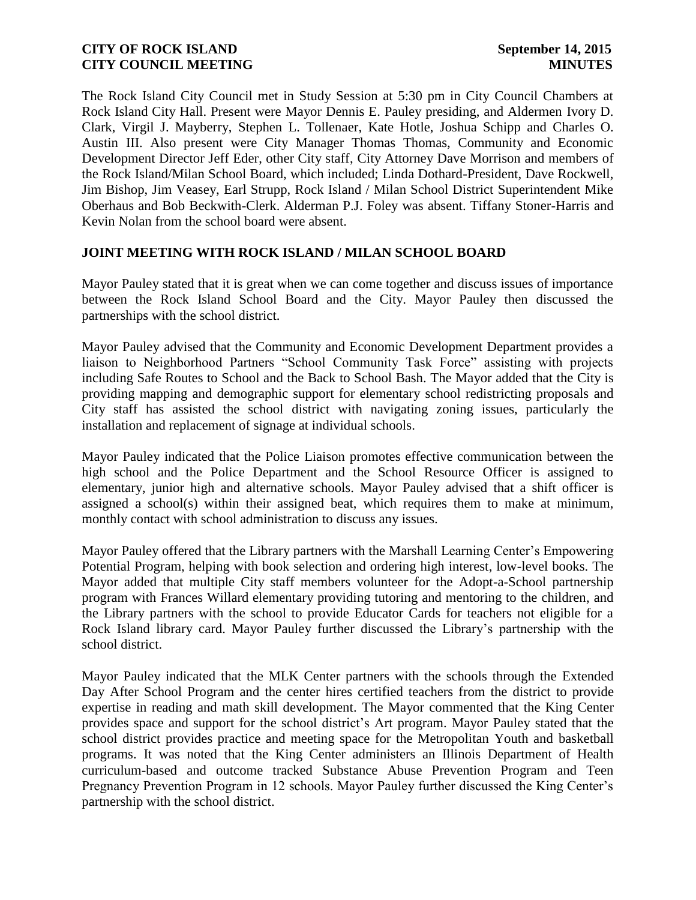The Rock Island City Council met in Study Session at 5:30 pm in City Council Chambers at Rock Island City Hall. Present were Mayor Dennis E. Pauley presiding, and Aldermen Ivory D. Clark, Virgil J. Mayberry, Stephen L. Tollenaer, Kate Hotle, Joshua Schipp and Charles O. Austin III. Also present were City Manager Thomas Thomas, Community and Economic Development Director Jeff Eder, other City staff, City Attorney Dave Morrison and members of the Rock Island/Milan School Board, which included; Linda Dothard-President, Dave Rockwell, Jim Bishop, Jim Veasey, Earl Strupp, Rock Island / Milan School District Superintendent Mike Oberhaus and Bob Beckwith-Clerk. Alderman P.J. Foley was absent. Tiffany Stoner-Harris and Kevin Nolan from the school board were absent.

#### **JOINT MEETING WITH ROCK ISLAND / MILAN SCHOOL BOARD**

Mayor Pauley stated that it is great when we can come together and discuss issues of importance between the Rock Island School Board and the City. Mayor Pauley then discussed the partnerships with the school district.

Mayor Pauley advised that the Community and Economic Development Department provides a liaison to Neighborhood Partners "School Community Task Force" assisting with projects including Safe Routes to School and the Back to School Bash. The Mayor added that the City is providing mapping and demographic support for elementary school redistricting proposals and City staff has assisted the school district with navigating zoning issues, particularly the installation and replacement of signage at individual schools.

Mayor Pauley indicated that the Police Liaison promotes effective communication between the high school and the Police Department and the School Resource Officer is assigned to elementary, junior high and alternative schools. Mayor Pauley advised that a shift officer is assigned a school(s) within their assigned beat, which requires them to make at minimum, monthly contact with school administration to discuss any issues.

Mayor Pauley offered that the Library partners with the Marshall Learning Center's Empowering Potential Program, helping with book selection and ordering high interest, low-level books. The Mayor added that multiple City staff members volunteer for the Adopt-a-School partnership program with Frances Willard elementary providing tutoring and mentoring to the children, and the Library partners with the school to provide Educator Cards for teachers not eligible for a Rock Island library card. Mayor Pauley further discussed the Library's partnership with the school district.

Mayor Pauley indicated that the MLK Center partners with the schools through the Extended Day After School Program and the center hires certified teachers from the district to provide expertise in reading and math skill development. The Mayor commented that the King Center provides space and support for the school district's Art program. Mayor Pauley stated that the school district provides practice and meeting space for the Metropolitan Youth and basketball programs. It was noted that the King Center administers an Illinois Department of Health curriculum-based and outcome tracked Substance Abuse Prevention Program and Teen Pregnancy Prevention Program in 12 schools. Mayor Pauley further discussed the King Center's partnership with the school district.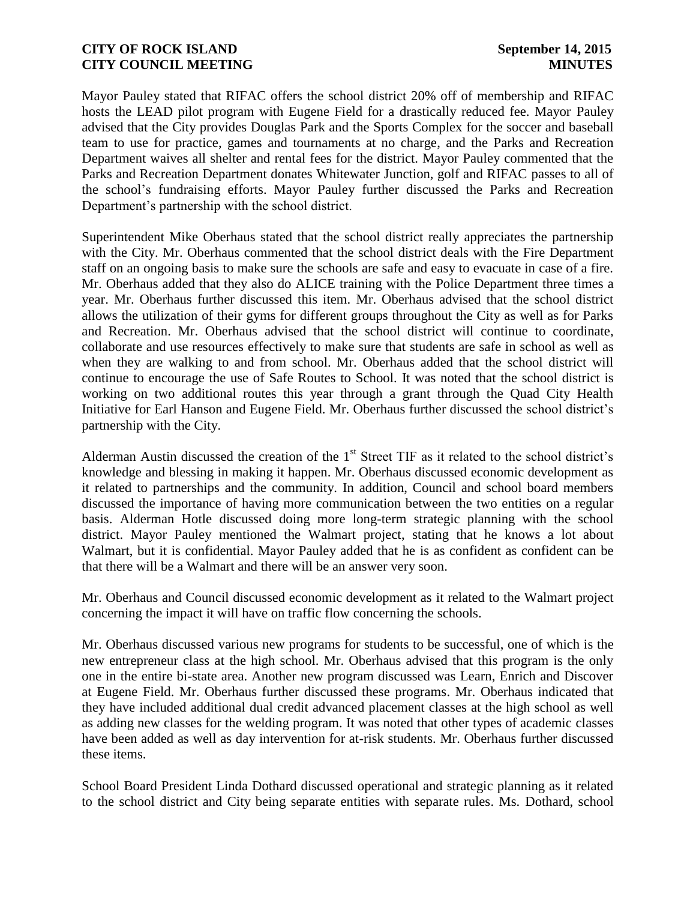Mayor Pauley stated that RIFAC offers the school district 20% off of membership and RIFAC hosts the LEAD pilot program with Eugene Field for a drastically reduced fee. Mayor Pauley advised that the City provides Douglas Park and the Sports Complex for the soccer and baseball team to use for practice, games and tournaments at no charge, and the Parks and Recreation Department waives all shelter and rental fees for the district. Mayor Pauley commented that the Parks and Recreation Department donates Whitewater Junction, golf and RIFAC passes to all of the school's fundraising efforts. Mayor Pauley further discussed the Parks and Recreation Department's partnership with the school district.

Superintendent Mike Oberhaus stated that the school district really appreciates the partnership with the City. Mr. Oberhaus commented that the school district deals with the Fire Department staff on an ongoing basis to make sure the schools are safe and easy to evacuate in case of a fire. Mr. Oberhaus added that they also do ALICE training with the Police Department three times a year. Mr. Oberhaus further discussed this item. Mr. Oberhaus advised that the school district allows the utilization of their gyms for different groups throughout the City as well as for Parks and Recreation. Mr. Oberhaus advised that the school district will continue to coordinate, collaborate and use resources effectively to make sure that students are safe in school as well as when they are walking to and from school. Mr. Oberhaus added that the school district will continue to encourage the use of Safe Routes to School. It was noted that the school district is working on two additional routes this year through a grant through the Quad City Health Initiative for Earl Hanson and Eugene Field. Mr. Oberhaus further discussed the school district's partnership with the City.

Alderman Austin discussed the creation of the 1<sup>st</sup> Street TIF as it related to the school district's knowledge and blessing in making it happen. Mr. Oberhaus discussed economic development as it related to partnerships and the community. In addition, Council and school board members discussed the importance of having more communication between the two entities on a regular basis. Alderman Hotle discussed doing more long-term strategic planning with the school district. Mayor Pauley mentioned the Walmart project, stating that he knows a lot about Walmart, but it is confidential. Mayor Pauley added that he is as confident as confident can be that there will be a Walmart and there will be an answer very soon.

Mr. Oberhaus and Council discussed economic development as it related to the Walmart project concerning the impact it will have on traffic flow concerning the schools.

Mr. Oberhaus discussed various new programs for students to be successful, one of which is the new entrepreneur class at the high school. Mr. Oberhaus advised that this program is the only one in the entire bi-state area. Another new program discussed was Learn, Enrich and Discover at Eugene Field. Mr. Oberhaus further discussed these programs. Mr. Oberhaus indicated that they have included additional dual credit advanced placement classes at the high school as well as adding new classes for the welding program. It was noted that other types of academic classes have been added as well as day intervention for at-risk students. Mr. Oberhaus further discussed these items.

School Board President Linda Dothard discussed operational and strategic planning as it related to the school district and City being separate entities with separate rules. Ms. Dothard, school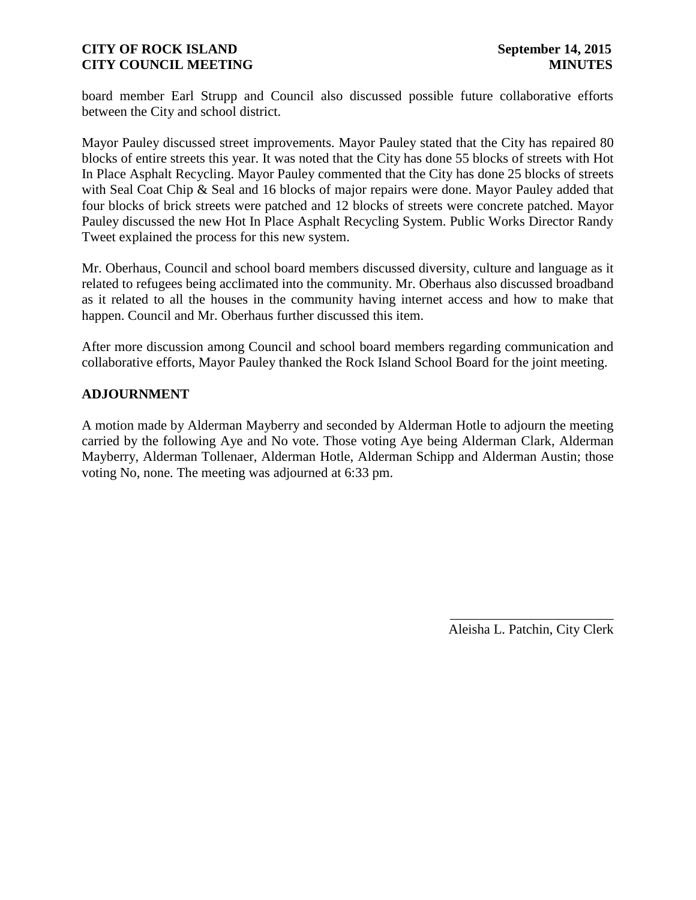board member Earl Strupp and Council also discussed possible future collaborative efforts between the City and school district.

Mayor Pauley discussed street improvements. Mayor Pauley stated that the City has repaired 80 blocks of entire streets this year. It was noted that the City has done 55 blocks of streets with Hot In Place Asphalt Recycling. Mayor Pauley commented that the City has done 25 blocks of streets with Seal Coat Chip & Seal and 16 blocks of major repairs were done. Mayor Pauley added that four blocks of brick streets were patched and 12 blocks of streets were concrete patched. Mayor Pauley discussed the new Hot In Place Asphalt Recycling System. Public Works Director Randy Tweet explained the process for this new system.

Mr. Oberhaus, Council and school board members discussed diversity, culture and language as it related to refugees being acclimated into the community. Mr. Oberhaus also discussed broadband as it related to all the houses in the community having internet access and how to make that happen. Council and Mr. Oberhaus further discussed this item.

After more discussion among Council and school board members regarding communication and collaborative efforts, Mayor Pauley thanked the Rock Island School Board for the joint meeting.

#### **ADJOURNMENT**

A motion made by Alderman Mayberry and seconded by Alderman Hotle to adjourn the meeting carried by the following Aye and No vote. Those voting Aye being Alderman Clark, Alderman Mayberry, Alderman Tollenaer, Alderman Hotle, Alderman Schipp and Alderman Austin; those voting No, none. The meeting was adjourned at 6:33 pm.

> \_\_\_\_\_\_\_\_\_\_\_\_\_\_\_\_\_\_\_\_\_\_\_\_ Aleisha L. Patchin, City Clerk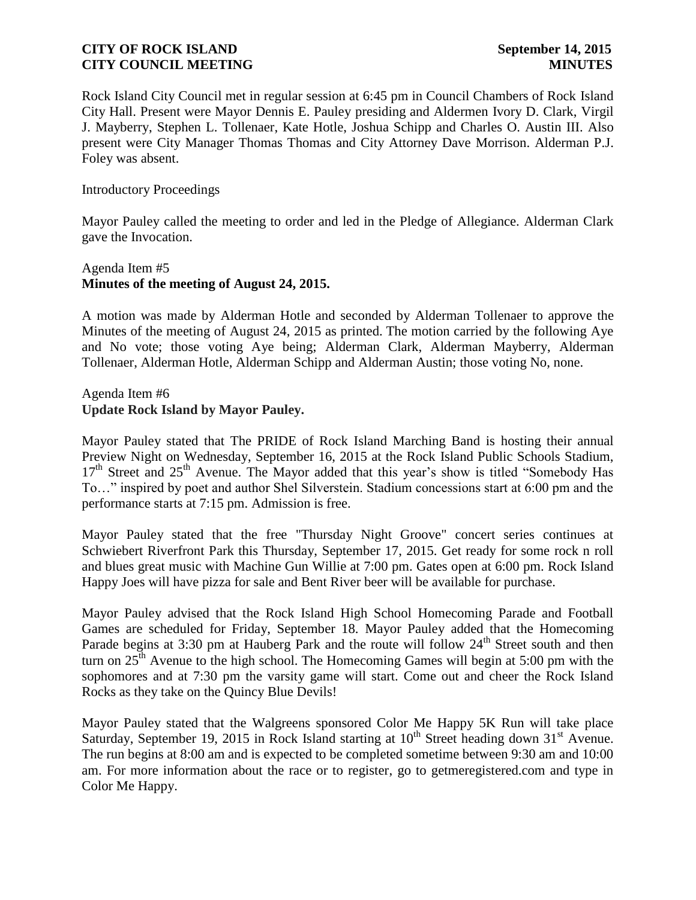Rock Island City Council met in regular session at 6:45 pm in Council Chambers of Rock Island City Hall. Present were Mayor Dennis E. Pauley presiding and Aldermen Ivory D. Clark, Virgil J. Mayberry, Stephen L. Tollenaer, Kate Hotle, Joshua Schipp and Charles O. Austin III. Also present were City Manager Thomas Thomas and City Attorney Dave Morrison. Alderman P.J. Foley was absent.

#### Introductory Proceedings

Mayor Pauley called the meeting to order and led in the Pledge of Allegiance. Alderman Clark gave the Invocation.

## Agenda Item #5 **Minutes of the meeting of August 24, 2015.**

A motion was made by Alderman Hotle and seconded by Alderman Tollenaer to approve the Minutes of the meeting of August 24, 2015 as printed. The motion carried by the following Aye and No vote; those voting Aye being; Alderman Clark, Alderman Mayberry, Alderman Tollenaer, Alderman Hotle, Alderman Schipp and Alderman Austin; those voting No, none.

#### Agenda Item #6 **Update Rock Island by Mayor Pauley.**

Mayor Pauley stated that The PRIDE of Rock Island Marching Band is hosting their annual Preview Night on Wednesday, September 16, 2015 at the Rock Island Public Schools Stadium, 17<sup>th</sup> Street and 25<sup>th</sup> Avenue. The Mayor added that this year's show is titled "Somebody Has To…" inspired by poet and author Shel Silverstein. Stadium concessions start at 6:00 pm and the performance starts at 7:15 pm. Admission is free.

Mayor Pauley stated that the free "Thursday Night Groove" concert series continues at Schwiebert Riverfront Park this Thursday, September 17, 2015. Get ready for some rock n roll and blues great music with Machine Gun Willie at 7:00 pm. Gates open at 6:00 pm. Rock Island Happy Joes will have pizza for sale and Bent River beer will be available for purchase.

Mayor Pauley advised that the Rock Island High School Homecoming Parade and Football Games are scheduled for Friday, September 18. Mayor Pauley added that the Homecoming Parade begins at 3:30 pm at Hauberg Park and the route will follow 24<sup>th</sup> Street south and then turn on  $25<sup>th</sup>$  Avenue to the high school. The Homecoming Games will begin at 5:00 pm with the sophomores and at 7:30 pm the varsity game will start. Come out and cheer the Rock Island Rocks as they take on the Quincy Blue Devils!

Mayor Pauley stated that the Walgreens sponsored Color Me Happy 5K Run will take place Saturday, September 19, 2015 in Rock Island starting at  $10^{th}$  Street heading down  $31^{st}$  Avenue. The run begins at 8:00 am and is expected to be completed sometime between 9:30 am and 10:00 am. For more information about the race or to register, go to getmeregistered.com and type in Color Me Happy.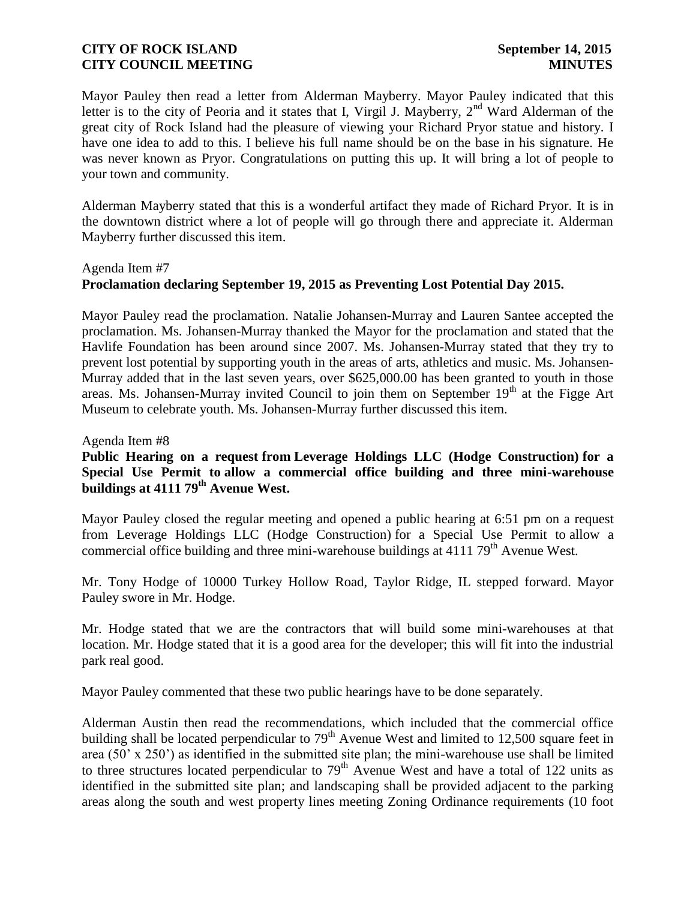Mayor Pauley then read a letter from Alderman Mayberry. Mayor Pauley indicated that this letter is to the city of Peoria and it states that I, Virgil J. Mayberry,  $2<sup>nd</sup>$  Ward Alderman of the great city of Rock Island had the pleasure of viewing your Richard Pryor statue and history. I have one idea to add to this. I believe his full name should be on the base in his signature. He was never known as Pryor. Congratulations on putting this up. It will bring a lot of people to your town and community.

Alderman Mayberry stated that this is a wonderful artifact they made of Richard Pryor. It is in the downtown district where a lot of people will go through there and appreciate it. Alderman Mayberry further discussed this item.

# Agenda Item #7 **Proclamation declaring September 19, 2015 as Preventing Lost Potential Day 2015.**

Mayor Pauley read the proclamation. Natalie Johansen-Murray and Lauren Santee accepted the proclamation. Ms. Johansen-Murray thanked the Mayor for the proclamation and stated that the Havlife Foundation has been around since 2007. Ms. Johansen-Murray stated that they try to prevent lost potential by supporting youth in the areas of arts, athletics and music. Ms. Johansen-Murray added that in the last seven years, over \$625,000.00 has been granted to youth in those areas. Ms. Johansen-Murray invited Council to join them on September  $19<sup>th</sup>$  at the Figge Art Museum to celebrate youth. Ms. Johansen-Murray further discussed this item.

Agenda Item #8

# **Public Hearing on a request from Leverage Holdings LLC (Hodge Construction) for a Special Use Permit to allow a commercial office building and three mini-warehouse buildings at 4111 79th Avenue West.**

Mayor Pauley closed the regular meeting and opened a public hearing at 6:51 pm on a request from Leverage Holdings LLC (Hodge Construction) for a Special Use Permit to allow a commercial office building and three mini-warehouse buildings at  $411179<sup>th</sup>$  Avenue West.

Mr. Tony Hodge of 10000 Turkey Hollow Road, Taylor Ridge, IL stepped forward. Mayor Pauley swore in Mr. Hodge.

Mr. Hodge stated that we are the contractors that will build some mini-warehouses at that location. Mr. Hodge stated that it is a good area for the developer; this will fit into the industrial park real good.

Mayor Pauley commented that these two public hearings have to be done separately.

Alderman Austin then read the recommendations, which included that the commercial office building shall be located perpendicular to  $79<sup>th</sup>$  Avenue West and limited to 12,500 square feet in area (50' x 250') as identified in the submitted site plan; the mini-warehouse use shall be limited to three structures located perpendicular to  $79<sup>th</sup>$  Avenue West and have a total of 122 units as identified in the submitted site plan; and landscaping shall be provided adjacent to the parking areas along the south and west property lines meeting Zoning Ordinance requirements (10 foot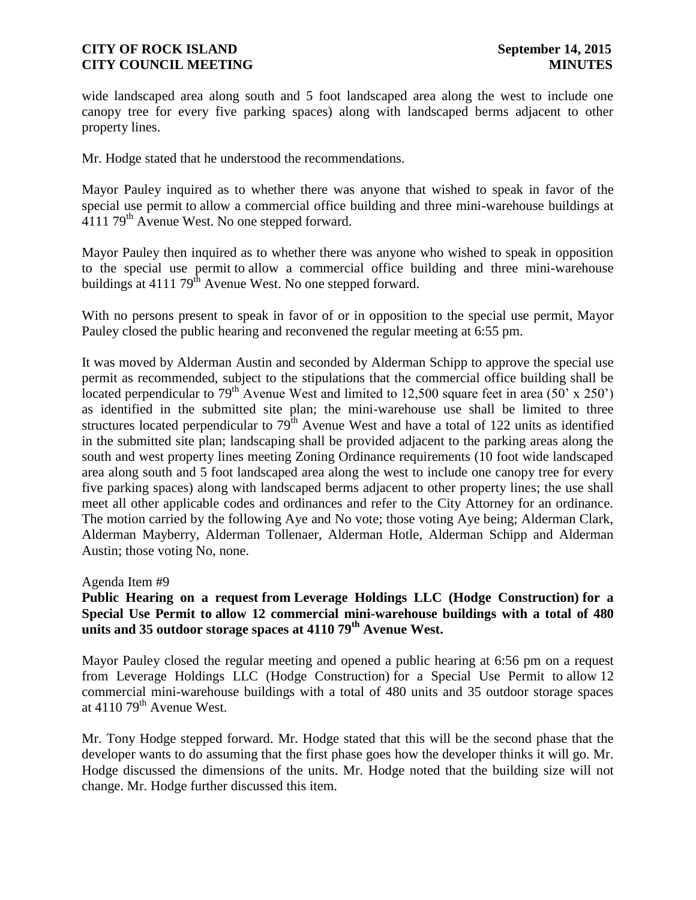wide landscaped area along south and 5 foot landscaped area along the west to include one canopy tree for every five parking spaces) along with landscaped berms adjacent to other property lines.

Mr. Hodge stated that he understood the recommendations.

Mayor Pauley inquired as to whether there was anyone that wished to speak in favor of the special use permit to allow a commercial office building and three mini-warehouse buildings at 4111 79th Avenue West. No one stepped forward.

Mayor Pauley then inquired as to whether there was anyone who wished to speak in opposition to the special use permit to allow a commercial office building and three mini-warehouse buildings at 4111 79<sup>th</sup> Avenue West. No one stepped forward.

With no persons present to speak in favor of or in opposition to the special use permit, Mayor Pauley closed the public hearing and reconvened the regular meeting at 6:55 pm.

It was moved by Alderman Austin and seconded by Alderman Schipp to approve the special use permit as recommended, subject to the stipulations that the commercial office building shall be located perpendicular to  $79<sup>th</sup>$  Avenue West and limited to 12,500 square feet in area (50' x 250') as identified in the submitted site plan; the mini-warehouse use shall be limited to three structures located perpendicular to  $79<sup>th</sup>$  Avenue West and have a total of 122 units as identified in the submitted site plan; landscaping shall be provided adjacent to the parking areas along the south and west property lines meeting Zoning Ordinance requirements (10 foot wide landscaped area along south and 5 foot landscaped area along the west to include one canopy tree for every five parking spaces) along with landscaped berms adjacent to other property lines; the use shall meet all other applicable codes and ordinances and refer to the City Attorney for an ordinance. The motion carried by the following Aye and No vote; those voting Aye being; Alderman Clark, Alderman Mayberry, Alderman Tollenaer, Alderman Hotle, Alderman Schipp and Alderman Austin; those voting No, none.

#### Agenda Item #9

# **Public Hearing on a request from Leverage Holdings LLC (Hodge Construction) for a Special Use Permit to allow 12 commercial mini-warehouse buildings with a total of 480 units and 35 outdoor storage spaces at 4110 79th Avenue West.**

Mayor Pauley closed the regular meeting and opened a public hearing at 6:56 pm on a request from Leverage Holdings LLC (Hodge Construction) for a Special Use Permit to allow 12 commercial mini-warehouse buildings with a total of 480 units and 35 outdoor storage spaces at  $4110$  79<sup>th</sup> Avenue West.

Mr. Tony Hodge stepped forward. Mr. Hodge stated that this will be the second phase that the developer wants to do assuming that the first phase goes how the developer thinks it will go. Mr. Hodge discussed the dimensions of the units. Mr. Hodge noted that the building size will not change. Mr. Hodge further discussed this item.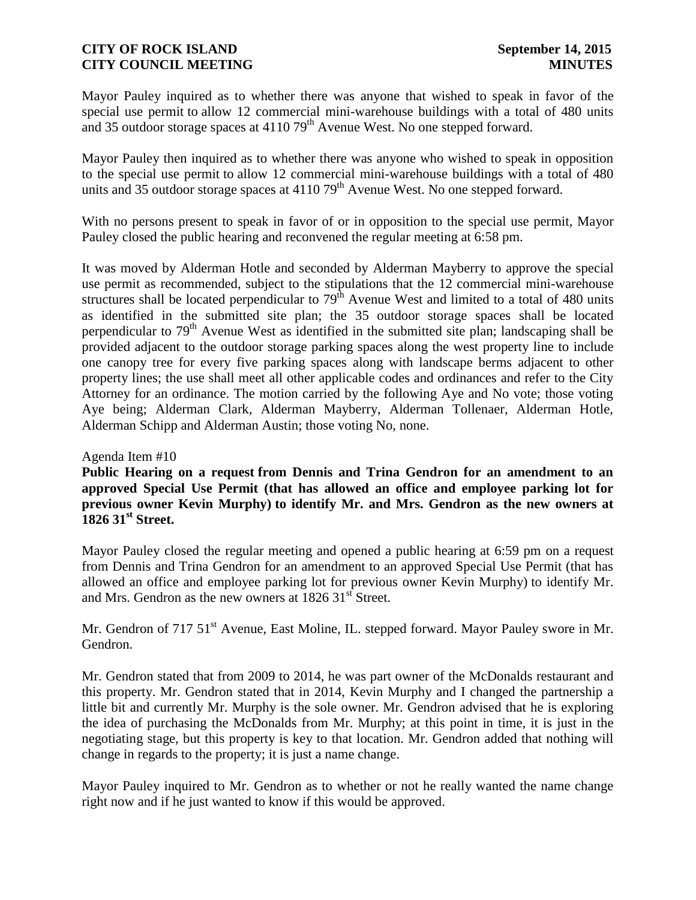Mayor Pauley inquired as to whether there was anyone that wished to speak in favor of the special use permit to allow 12 commercial mini-warehouse buildings with a total of 480 units and 35 outdoor storage spaces at  $411079<sup>th</sup>$  Avenue West. No one stepped forward.

Mayor Pauley then inquired as to whether there was anyone who wished to speak in opposition to the special use permit to allow 12 commercial mini-warehouse buildings with a total of 480 units and 35 outdoor storage spaces at  $4110$  79<sup>th</sup> Avenue West. No one stepped forward.

With no persons present to speak in favor of or in opposition to the special use permit, Mayor Pauley closed the public hearing and reconvened the regular meeting at 6:58 pm.

It was moved by Alderman Hotle and seconded by Alderman Mayberry to approve the special use permit as recommended, subject to the stipulations that the 12 commercial mini-warehouse structures shall be located perpendicular to  $79<sup>th</sup>$  Avenue West and limited to a total of 480 units as identified in the submitted site plan; the 35 outdoor storage spaces shall be located perpendicular to  $79<sup>th</sup>$  Avenue West as identified in the submitted site plan; landscaping shall be provided adjacent to the outdoor storage parking spaces along the west property line to include one canopy tree for every five parking spaces along with landscape berms adjacent to other property lines; the use shall meet all other applicable codes and ordinances and refer to the City Attorney for an ordinance. The motion carried by the following Aye and No vote; those voting Aye being; Alderman Clark, Alderman Mayberry, Alderman Tollenaer, Alderman Hotle, Alderman Schipp and Alderman Austin; those voting No, none.

#### Agenda Item #10

**Public Hearing on a request from Dennis and Trina Gendron for an amendment to an approved Special Use Permit (that has allowed an office and employee parking lot for previous owner Kevin Murphy) to identify Mr. and Mrs. Gendron as the new owners at 1826 31st Street.**

Mayor Pauley closed the regular meeting and opened a public hearing at 6:59 pm on a request from Dennis and Trina Gendron for an amendment to an approved Special Use Permit (that has allowed an office and employee parking lot for previous owner Kevin Murphy) to identify Mr. and Mrs. Gendron as the new owners at  $1826\,31<sup>st</sup>$  Street.

Mr. Gendron of 717 51<sup>st</sup> Avenue, East Moline, IL. stepped forward. Mayor Pauley swore in Mr. Gendron.

Mr. Gendron stated that from 2009 to 2014, he was part owner of the McDonalds restaurant and this property. Mr. Gendron stated that in 2014, Kevin Murphy and I changed the partnership a little bit and currently Mr. Murphy is the sole owner. Mr. Gendron advised that he is exploring the idea of purchasing the McDonalds from Mr. Murphy; at this point in time, it is just in the negotiating stage, but this property is key to that location. Mr. Gendron added that nothing will change in regards to the property; it is just a name change.

Mayor Pauley inquired to Mr. Gendron as to whether or not he really wanted the name change right now and if he just wanted to know if this would be approved.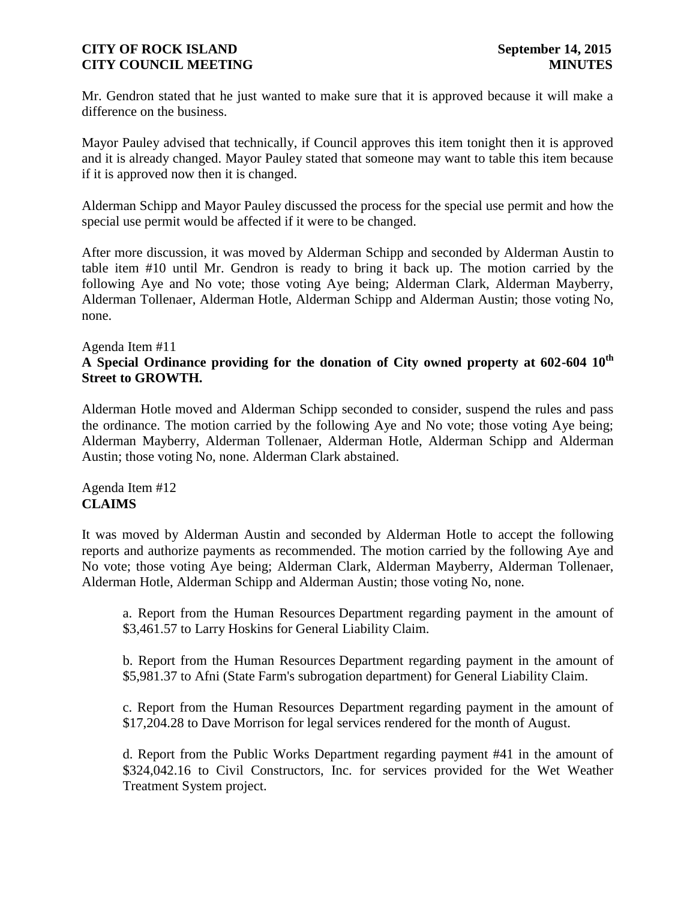Mr. Gendron stated that he just wanted to make sure that it is approved because it will make a difference on the business.

Mayor Pauley advised that technically, if Council approves this item tonight then it is approved and it is already changed. Mayor Pauley stated that someone may want to table this item because if it is approved now then it is changed.

Alderman Schipp and Mayor Pauley discussed the process for the special use permit and how the special use permit would be affected if it were to be changed.

After more discussion, it was moved by Alderman Schipp and seconded by Alderman Austin to table item #10 until Mr. Gendron is ready to bring it back up. The motion carried by the following Aye and No vote; those voting Aye being; Alderman Clark, Alderman Mayberry, Alderman Tollenaer, Alderman Hotle, Alderman Schipp and Alderman Austin; those voting No, none.

#### Agenda Item #11

# **A Special Ordinance providing for the donation of City owned property at 602-604 10th Street to GROWTH.**

Alderman Hotle moved and Alderman Schipp seconded to consider, suspend the rules and pass the ordinance. The motion carried by the following Aye and No vote; those voting Aye being; Alderman Mayberry, Alderman Tollenaer, Alderman Hotle, Alderman Schipp and Alderman Austin; those voting No, none. Alderman Clark abstained.

Agenda Item #12 **CLAIMS**

It was moved by Alderman Austin and seconded by Alderman Hotle to accept the following reports and authorize payments as recommended. The motion carried by the following Aye and No vote; those voting Aye being; Alderman Clark, Alderman Mayberry, Alderman Tollenaer, Alderman Hotle, Alderman Schipp and Alderman Austin; those voting No, none.

a. Report from the Human Resources Department regarding payment in the amount of \$3,461.57 to Larry Hoskins for General Liability Claim.

b. Report from the Human Resources Department regarding payment in the amount of \$5,981.37 to Afni (State Farm's subrogation department) for General Liability Claim.

c. Report from the Human Resources Department regarding payment in the amount of \$17,204.28 to Dave Morrison for legal services rendered for the month of August.

d. Report from the Public Works Department regarding payment #41 in the amount of \$324,042.16 to Civil Constructors, Inc. for services provided for the Wet Weather Treatment System project.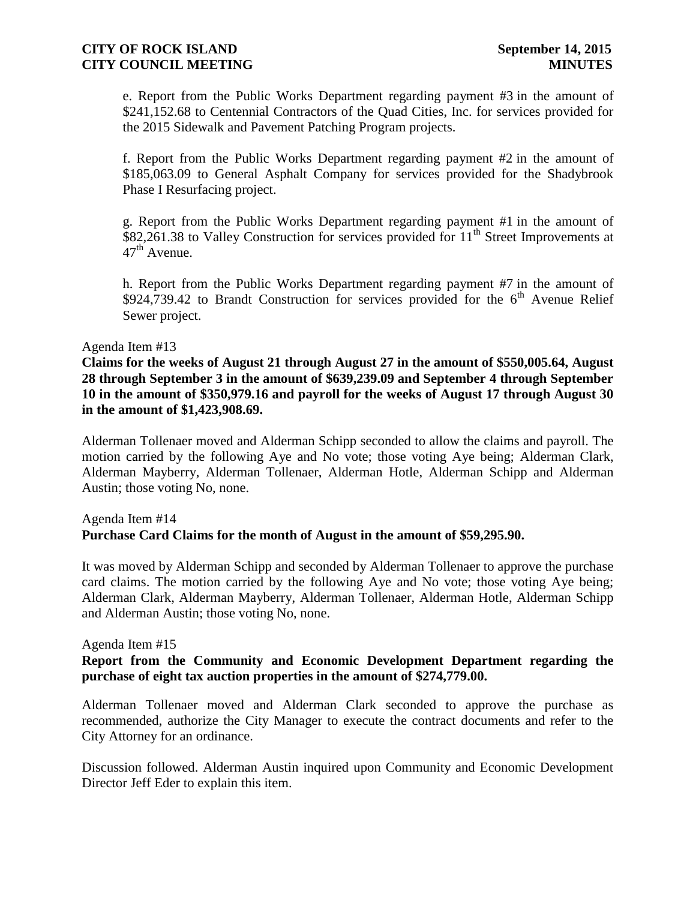e. Report from the Public Works Department regarding payment #3 in the amount of \$241,152.68 to Centennial Contractors of the Quad Cities, Inc. for services provided for the 2015 Sidewalk and Pavement Patching Program projects.

f. Report from the Public Works Department regarding payment #2 in the amount of \$185,063.09 to General Asphalt Company for services provided for the Shadybrook Phase I Resurfacing project.

g. Report from the Public Works Department regarding payment #1 in the amount of  $$82,261.38$  to Valley Construction for services provided for  $11<sup>th</sup>$  Street Improvements at  $47<sup>th</sup>$  Avenue.

h. Report from the Public Works Department regarding payment #7 in the amount of \$924,739.42 to Brandt Construction for services provided for the  $6<sup>th</sup>$  Avenue Relief Sewer project.

#### Agenda Item #13

**Claims for the weeks of August 21 through August 27 in the amount of \$550,005.64, August 28 through September 3 in the amount of \$639,239.09 and September 4 through September 10 in the amount of \$350,979.16 and payroll for the weeks of August 17 through August 30 in the amount of \$1,423,908.69.** 

Alderman Tollenaer moved and Alderman Schipp seconded to allow the claims and payroll. The motion carried by the following Aye and No vote; those voting Aye being; Alderman Clark, Alderman Mayberry, Alderman Tollenaer, Alderman Hotle, Alderman Schipp and Alderman Austin; those voting No, none.

## Agenda Item #14 **Purchase Card Claims for the month of August in the amount of \$59,295.90.**

It was moved by Alderman Schipp and seconded by Alderman Tollenaer to approve the purchase card claims. The motion carried by the following Aye and No vote; those voting Aye being; Alderman Clark, Alderman Mayberry, Alderman Tollenaer, Alderman Hotle, Alderman Schipp and Alderman Austin; those voting No, none.

#### Agenda Item #15

## **Report from the Community and Economic Development Department regarding the purchase of eight tax auction properties in the amount of \$274,779.00.**

Alderman Tollenaer moved and Alderman Clark seconded to approve the purchase as recommended, authorize the City Manager to execute the contract documents and refer to the City Attorney for an ordinance.

Discussion followed. Alderman Austin inquired upon Community and Economic Development Director Jeff Eder to explain this item.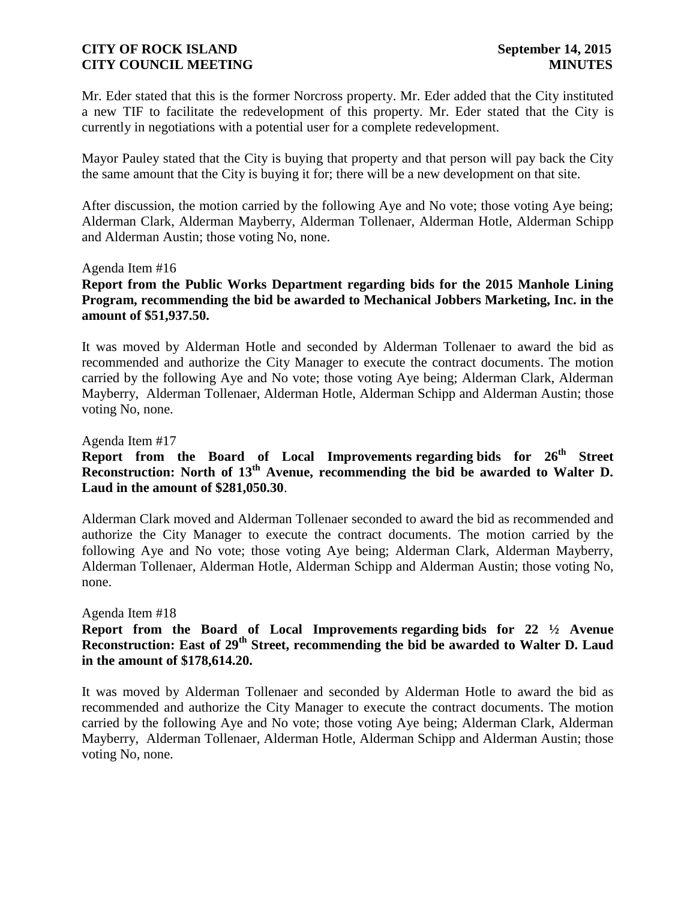Mr. Eder stated that this is the former Norcross property. Mr. Eder added that the City instituted a new TIF to facilitate the redevelopment of this property. Mr. Eder stated that the City is currently in negotiations with a potential user for a complete redevelopment.

Mayor Pauley stated that the City is buying that property and that person will pay back the City the same amount that the City is buying it for; there will be a new development on that site.

After discussion, the motion carried by the following Aye and No vote; those voting Aye being; Alderman Clark, Alderman Mayberry, Alderman Tollenaer, Alderman Hotle, Alderman Schipp and Alderman Austin; those voting No, none.

#### Agenda Item #16

## **Report from the Public Works Department regarding bids for the 2015 Manhole Lining Program, recommending the bid be awarded to Mechanical Jobbers Marketing, Inc. in the amount of \$51,937.50.**

It was moved by Alderman Hotle and seconded by Alderman Tollenaer to award the bid as recommended and authorize the City Manager to execute the contract documents. The motion carried by the following Aye and No vote; those voting Aye being; Alderman Clark, Alderman Mayberry, Alderman Tollenaer, Alderman Hotle, Alderman Schipp and Alderman Austin; those voting No, none.

#### Agenda Item #17

# **Report from the Board of Local Improvements regarding bids for 26th Street Reconstruction: North of 13th Avenue, recommending the bid be awarded to Walter D. Laud in the amount of \$281,050.30**.

Alderman Clark moved and Alderman Tollenaer seconded to award the bid as recommended and authorize the City Manager to execute the contract documents. The motion carried by the following Aye and No vote; those voting Aye being; Alderman Clark, Alderman Mayberry, Alderman Tollenaer, Alderman Hotle, Alderman Schipp and Alderman Austin; those voting No, none.

#### Agenda Item #18

# **Report from the Board of Local Improvements regarding bids for 22 ½ Avenue Reconstruction: East of 29th Street, recommending the bid be awarded to Walter D. Laud in the amount of \$178,614.20.**

It was moved by Alderman Tollenaer and seconded by Alderman Hotle to award the bid as recommended and authorize the City Manager to execute the contract documents. The motion carried by the following Aye and No vote; those voting Aye being; Alderman Clark, Alderman Mayberry, Alderman Tollenaer, Alderman Hotle, Alderman Schipp and Alderman Austin; those voting No, none.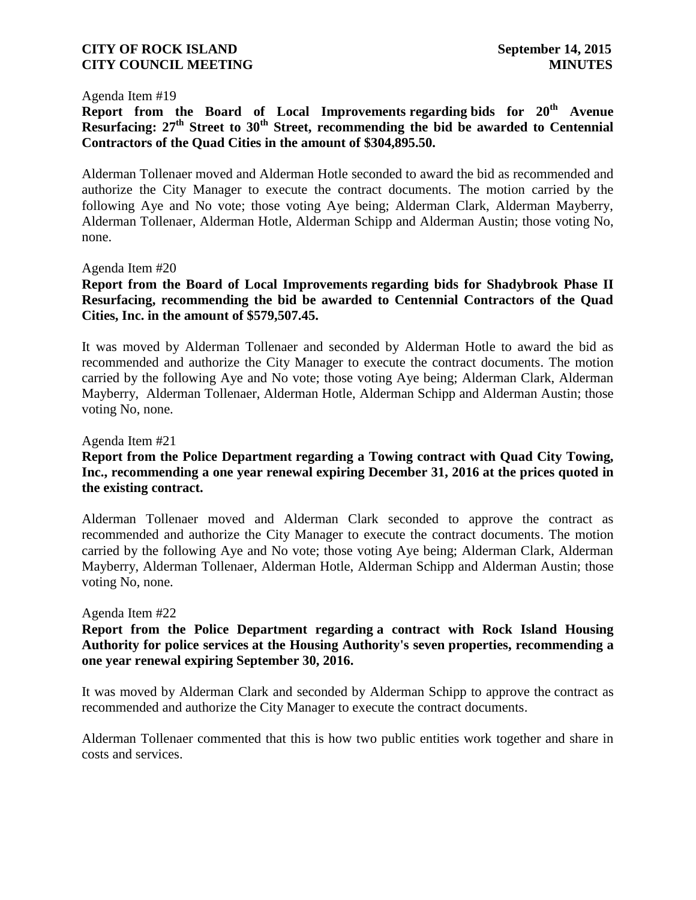#### Agenda Item #19

**Report from the Board of Local Improvements regarding bids for 20th Avenue Resurfacing: 27th Street to 30th Street, recommending the bid be awarded to Centennial Contractors of the Quad Cities in the amount of \$304,895.50.**

Alderman Tollenaer moved and Alderman Hotle seconded to award the bid as recommended and authorize the City Manager to execute the contract documents. The motion carried by the following Aye and No vote; those voting Aye being; Alderman Clark, Alderman Mayberry, Alderman Tollenaer, Alderman Hotle, Alderman Schipp and Alderman Austin; those voting No, none.

#### Agenda Item #20

### **Report from the Board of Local Improvements regarding bids for Shadybrook Phase II Resurfacing, recommending the bid be awarded to Centennial Contractors of the Quad Cities, Inc. in the amount of \$579,507.45.**

It was moved by Alderman Tollenaer and seconded by Alderman Hotle to award the bid as recommended and authorize the City Manager to execute the contract documents. The motion carried by the following Aye and No vote; those voting Aye being; Alderman Clark, Alderman Mayberry, Alderman Tollenaer, Alderman Hotle, Alderman Schipp and Alderman Austin; those voting No, none.

#### Agenda Item #21

# **Report from the Police Department regarding a Towing contract with Quad City Towing, Inc., recommending a one year renewal expiring December 31, 2016 at the prices quoted in the existing contract.**

Alderman Tollenaer moved and Alderman Clark seconded to approve the contract as recommended and authorize the City Manager to execute the contract documents. The motion carried by the following Aye and No vote; those voting Aye being; Alderman Clark, Alderman Mayberry, Alderman Tollenaer, Alderman Hotle, Alderman Schipp and Alderman Austin; those voting No, none.

#### Agenda Item #22

### **Report from the Police Department regarding a contract with Rock Island Housing Authority for police services at the Housing Authority's seven properties, recommending a one year renewal expiring September 30, 2016.**

It was moved by Alderman Clark and seconded by Alderman Schipp to approve the contract as recommended and authorize the City Manager to execute the contract documents.

Alderman Tollenaer commented that this is how two public entities work together and share in costs and services.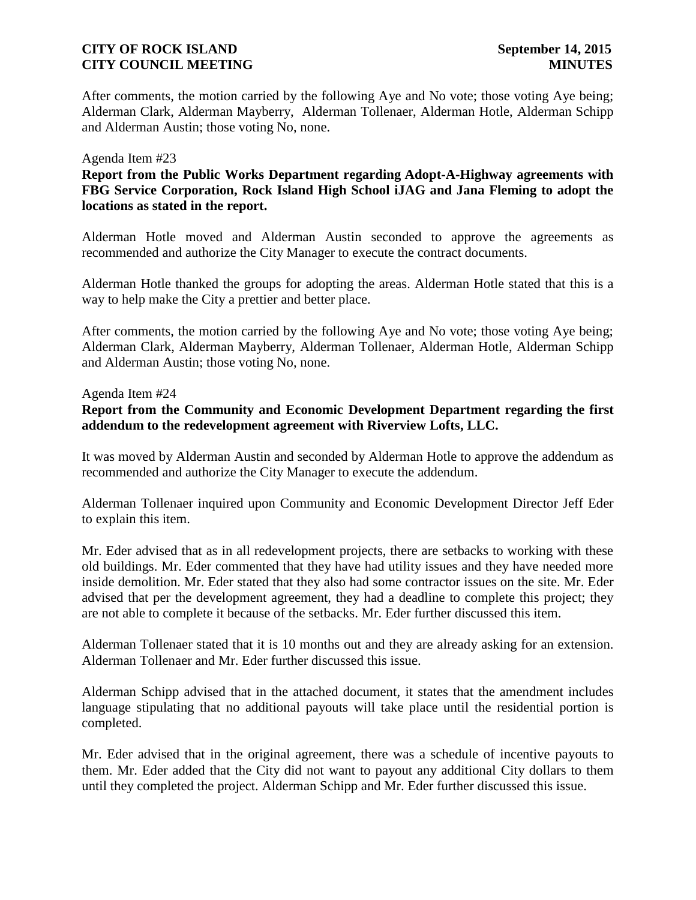After comments, the motion carried by the following Aye and No vote; those voting Aye being; Alderman Clark, Alderman Mayberry, Alderman Tollenaer, Alderman Hotle, Alderman Schipp and Alderman Austin; those voting No, none.

#### Agenda Item #23

# **Report from the Public Works Department regarding Adopt-A-Highway agreements with FBG Service Corporation, Rock Island High School iJAG and Jana Fleming to adopt the locations as stated in the report.**

Alderman Hotle moved and Alderman Austin seconded to approve the agreements as recommended and authorize the City Manager to execute the contract documents.

Alderman Hotle thanked the groups for adopting the areas. Alderman Hotle stated that this is a way to help make the City a prettier and better place.

After comments, the motion carried by the following Aye and No vote; those voting Aye being; Alderman Clark, Alderman Mayberry, Alderman Tollenaer, Alderman Hotle, Alderman Schipp and Alderman Austin; those voting No, none.

#### Agenda Item #24

# **Report from the Community and Economic Development Department regarding the first addendum to the redevelopment agreement with Riverview Lofts, LLC.**

It was moved by Alderman Austin and seconded by Alderman Hotle to approve the addendum as recommended and authorize the City Manager to execute the addendum.

Alderman Tollenaer inquired upon Community and Economic Development Director Jeff Eder to explain this item.

Mr. Eder advised that as in all redevelopment projects, there are setbacks to working with these old buildings. Mr. Eder commented that they have had utility issues and they have needed more inside demolition. Mr. Eder stated that they also had some contractor issues on the site. Mr. Eder advised that per the development agreement, they had a deadline to complete this project; they are not able to complete it because of the setbacks. Mr. Eder further discussed this item.

Alderman Tollenaer stated that it is 10 months out and they are already asking for an extension. Alderman Tollenaer and Mr. Eder further discussed this issue.

Alderman Schipp advised that in the attached document, it states that the amendment includes language stipulating that no additional payouts will take place until the residential portion is completed.

Mr. Eder advised that in the original agreement, there was a schedule of incentive payouts to them. Mr. Eder added that the City did not want to payout any additional City dollars to them until they completed the project. Alderman Schipp and Mr. Eder further discussed this issue.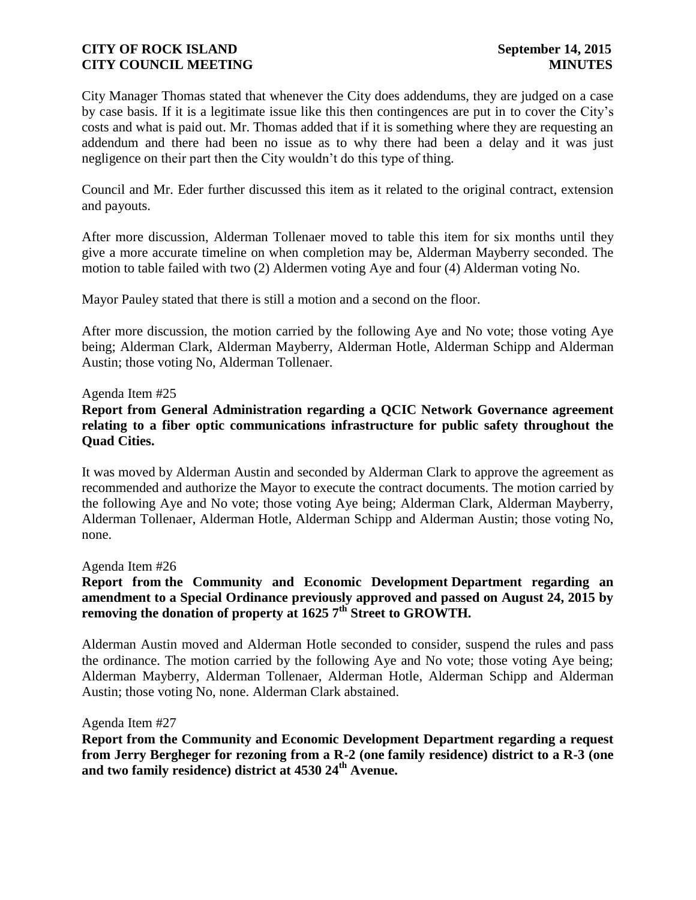City Manager Thomas stated that whenever the City does addendums, they are judged on a case by case basis. If it is a legitimate issue like this then contingences are put in to cover the City's costs and what is paid out. Mr. Thomas added that if it is something where they are requesting an addendum and there had been no issue as to why there had been a delay and it was just negligence on their part then the City wouldn't do this type of thing.

Council and Mr. Eder further discussed this item as it related to the original contract, extension and payouts.

After more discussion, Alderman Tollenaer moved to table this item for six months until they give a more accurate timeline on when completion may be, Alderman Mayberry seconded. The motion to table failed with two (2) Aldermen voting Aye and four (4) Alderman voting No.

Mayor Pauley stated that there is still a motion and a second on the floor.

After more discussion, the motion carried by the following Aye and No vote; those voting Aye being; Alderman Clark, Alderman Mayberry, Alderman Hotle, Alderman Schipp and Alderman Austin; those voting No, Alderman Tollenaer.

#### Agenda Item #25

## **Report from General Administration regarding a QCIC Network Governance agreement relating to a fiber optic communications infrastructure for public safety throughout the Quad Cities.**

It was moved by Alderman Austin and seconded by Alderman Clark to approve the agreement as recommended and authorize the Mayor to execute the contract documents. The motion carried by the following Aye and No vote; those voting Aye being; Alderman Clark, Alderman Mayberry, Alderman Tollenaer, Alderman Hotle, Alderman Schipp and Alderman Austin; those voting No, none.

#### Agenda Item #26

# **Report from the Community and Economic Development Department regarding an amendment to a Special Ordinance previously approved and passed on August 24, 2015 by removing the donation of property at 1625 7th Street to GROWTH.**

Alderman Austin moved and Alderman Hotle seconded to consider, suspend the rules and pass the ordinance. The motion carried by the following Aye and No vote; those voting Aye being; Alderman Mayberry, Alderman Tollenaer, Alderman Hotle, Alderman Schipp and Alderman Austin; those voting No, none. Alderman Clark abstained.

#### Agenda Item #27

**Report from the Community and Economic Development Department regarding a request from Jerry Bergheger for rezoning from a R-2 (one family residence) district to a R-3 (one and two family residence) district at 4530 24th Avenue.**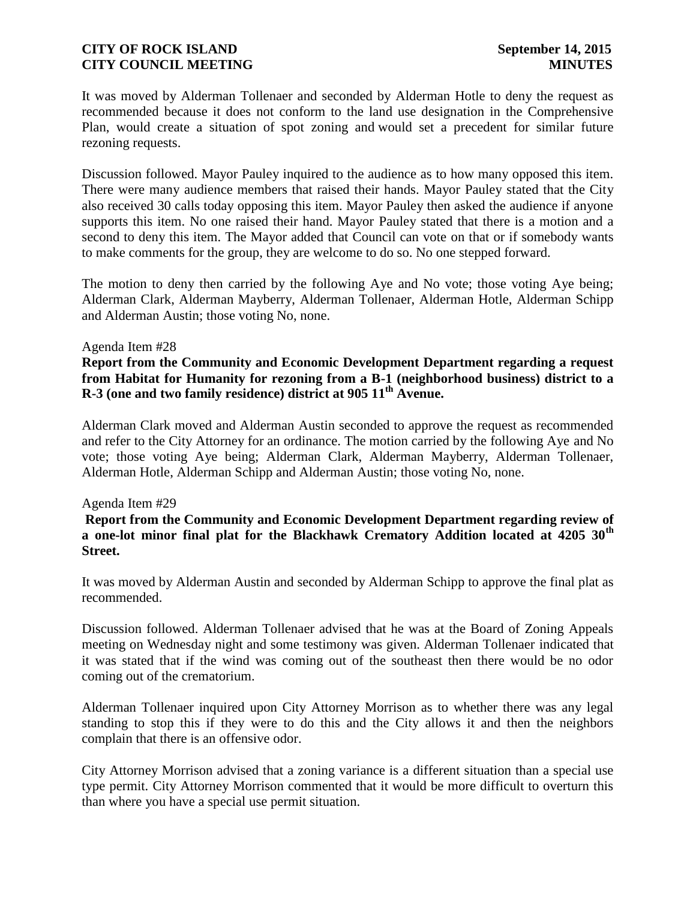It was moved by Alderman Tollenaer and seconded by Alderman Hotle to deny the request as recommended because it does not conform to the land use designation in the Comprehensive Plan, would create a situation of spot zoning and would set a precedent for similar future rezoning requests.

Discussion followed. Mayor Pauley inquired to the audience as to how many opposed this item. There were many audience members that raised their hands. Mayor Pauley stated that the City also received 30 calls today opposing this item. Mayor Pauley then asked the audience if anyone supports this item. No one raised their hand. Mayor Pauley stated that there is a motion and a second to deny this item. The Mayor added that Council can vote on that or if somebody wants to make comments for the group, they are welcome to do so. No one stepped forward.

The motion to deny then carried by the following Aye and No vote; those voting Aye being; Alderman Clark, Alderman Mayberry, Alderman Tollenaer, Alderman Hotle, Alderman Schipp and Alderman Austin; those voting No, none.

#### Agenda Item #28

# **Report from the Community and Economic Development Department regarding a request from Habitat for Humanity for rezoning from a B-1 (neighborhood business) district to a R-3 (one and two family residence) district at 905 11th Avenue.**

Alderman Clark moved and Alderman Austin seconded to approve the request as recommended and refer to the City Attorney for an ordinance. The motion carried by the following Aye and No vote; those voting Aye being; Alderman Clark, Alderman Mayberry, Alderman Tollenaer, Alderman Hotle, Alderman Schipp and Alderman Austin; those voting No, none.

#### Agenda Item #29

#### **Report from the Community and Economic Development Department regarding review of a one-lot minor final plat for the Blackhawk Crematory Addition located at 4205 30th Street.**

It was moved by Alderman Austin and seconded by Alderman Schipp to approve the final plat as recommended.

Discussion followed. Alderman Tollenaer advised that he was at the Board of Zoning Appeals meeting on Wednesday night and some testimony was given. Alderman Tollenaer indicated that it was stated that if the wind was coming out of the southeast then there would be no odor coming out of the crematorium.

Alderman Tollenaer inquired upon City Attorney Morrison as to whether there was any legal standing to stop this if they were to do this and the City allows it and then the neighbors complain that there is an offensive odor.

City Attorney Morrison advised that a zoning variance is a different situation than a special use type permit. City Attorney Morrison commented that it would be more difficult to overturn this than where you have a special use permit situation.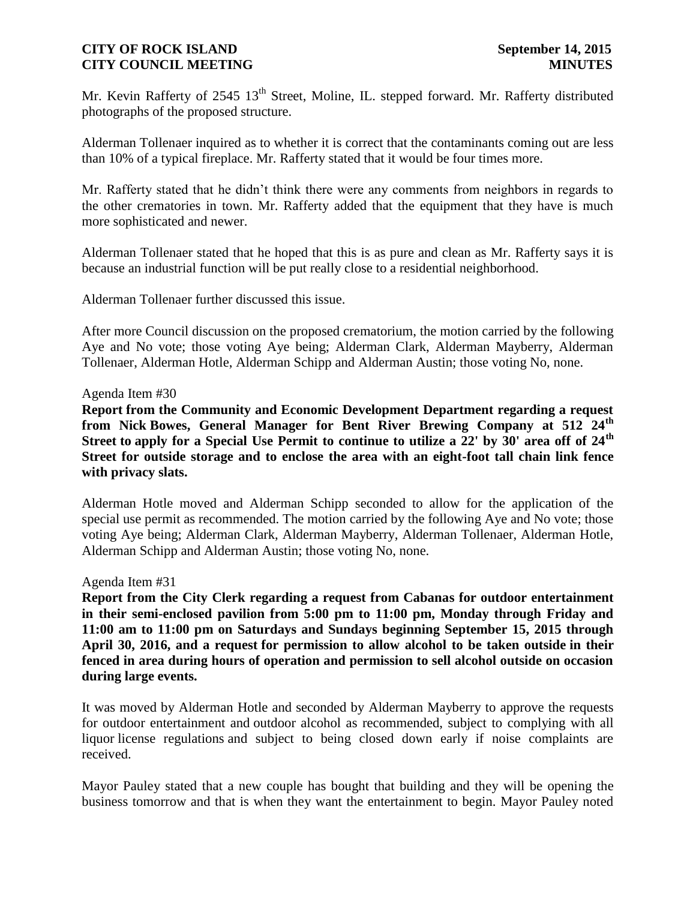Mr. Kevin Rafferty of 2545 13<sup>th</sup> Street, Moline, IL. stepped forward. Mr. Rafferty distributed photographs of the proposed structure.

Alderman Tollenaer inquired as to whether it is correct that the contaminants coming out are less than 10% of a typical fireplace. Mr. Rafferty stated that it would be four times more.

Mr. Rafferty stated that he didn't think there were any comments from neighbors in regards to the other crematories in town. Mr. Rafferty added that the equipment that they have is much more sophisticated and newer.

Alderman Tollenaer stated that he hoped that this is as pure and clean as Mr. Rafferty says it is because an industrial function will be put really close to a residential neighborhood.

Alderman Tollenaer further discussed this issue.

After more Council discussion on the proposed crematorium, the motion carried by the following Aye and No vote; those voting Aye being; Alderman Clark, Alderman Mayberry, Alderman Tollenaer, Alderman Hotle, Alderman Schipp and Alderman Austin; those voting No, none.

#### Agenda Item #30

**Report from the Community and Economic Development Department regarding a request from Nick Bowes, General Manager for Bent River Brewing Company at 512 24th Street to apply for a Special Use Permit to continue to utilize a 22' by 30' area off of 24th Street for outside storage and to enclose the area with an eight-foot tall chain link fence with privacy slats.**

Alderman Hotle moved and Alderman Schipp seconded to allow for the application of the special use permit as recommended. The motion carried by the following Aye and No vote; those voting Aye being; Alderman Clark, Alderman Mayberry, Alderman Tollenaer, Alderman Hotle, Alderman Schipp and Alderman Austin; those voting No, none.

#### Agenda Item #31

**Report from the City Clerk regarding a request from Cabanas for outdoor entertainment in their semi-enclosed pavilion from 5:00 pm to 11:00 pm, Monday through Friday and 11:00 am to 11:00 pm on Saturdays and Sundays beginning September 15, 2015 through April 30, 2016, and a request for permission to allow alcohol to be taken outside in their fenced in area during hours of operation and permission to sell alcohol outside on occasion during large events.**

It was moved by Alderman Hotle and seconded by Alderman Mayberry to approve the requests for outdoor entertainment and outdoor alcohol as recommended, subject to complying with all liquor license regulations and subject to being closed down early if noise complaints are received.

Mayor Pauley stated that a new couple has bought that building and they will be opening the business tomorrow and that is when they want the entertainment to begin. Mayor Pauley noted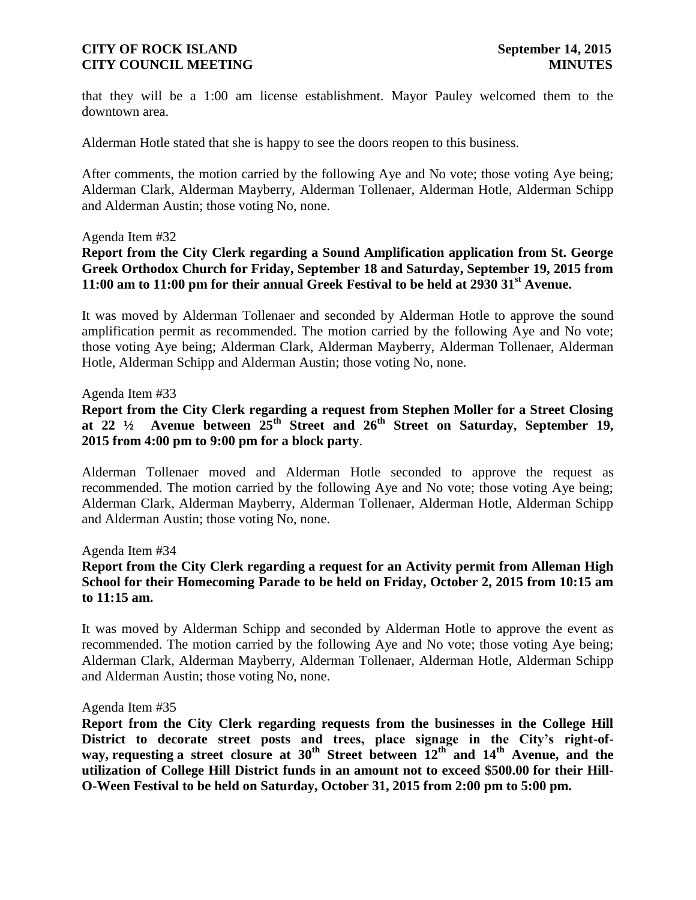that they will be a 1:00 am license establishment. Mayor Pauley welcomed them to the downtown area.

Alderman Hotle stated that she is happy to see the doors reopen to this business.

After comments, the motion carried by the following Aye and No vote; those voting Aye being; Alderman Clark, Alderman Mayberry, Alderman Tollenaer, Alderman Hotle, Alderman Schipp and Alderman Austin; those voting No, none.

#### Agenda Item #32

# **Report from the City Clerk regarding a Sound Amplification application from St. George Greek Orthodox Church for Friday, September 18 and Saturday, September 19, 2015 from 11:00 am to 11:00 pm for their annual Greek Festival to be held at 2930 31st Avenue.**

It was moved by Alderman Tollenaer and seconded by Alderman Hotle to approve the sound amplification permit as recommended. The motion carried by the following Aye and No vote; those voting Aye being; Alderman Clark, Alderman Mayberry, Alderman Tollenaer, Alderman Hotle, Alderman Schipp and Alderman Austin; those voting No, none.

#### Agenda Item #33

# **Report from the City Clerk regarding a request from Stephen Moller for a Street Closing at 22 ½ Avenue between 25th Street and 26th Street on Saturday, September 19, 2015 from 4:00 pm to 9:00 pm for a block party**.

Alderman Tollenaer moved and Alderman Hotle seconded to approve the request as recommended. The motion carried by the following Aye and No vote; those voting Aye being; Alderman Clark, Alderman Mayberry, Alderman Tollenaer, Alderman Hotle, Alderman Schipp and Alderman Austin; those voting No, none.

Agenda Item #34

### **Report from the City Clerk regarding a request for an Activity permit from Alleman High School for their Homecoming Parade to be held on Friday, October 2, 2015 from 10:15 am to 11:15 am.**

It was moved by Alderman Schipp and seconded by Alderman Hotle to approve the event as recommended. The motion carried by the following Aye and No vote; those voting Aye being; Alderman Clark, Alderman Mayberry, Alderman Tollenaer, Alderman Hotle, Alderman Schipp and Alderman Austin; those voting No, none.

#### Agenda Item #35

**Report from the City Clerk regarding requests from the businesses in the College Hill District to decorate street posts and trees, place signage in the City's right-ofway, requesting a street closure at**  $30^{th}$  **Street between**  $12^{th}$  **and**  $14^{th}$  **Avenue, and the utilization of College Hill District funds in an amount not to exceed \$500.00 for their Hill-O-Ween Festival to be held on Saturday, October 31, 2015 from 2:00 pm to 5:00 pm.**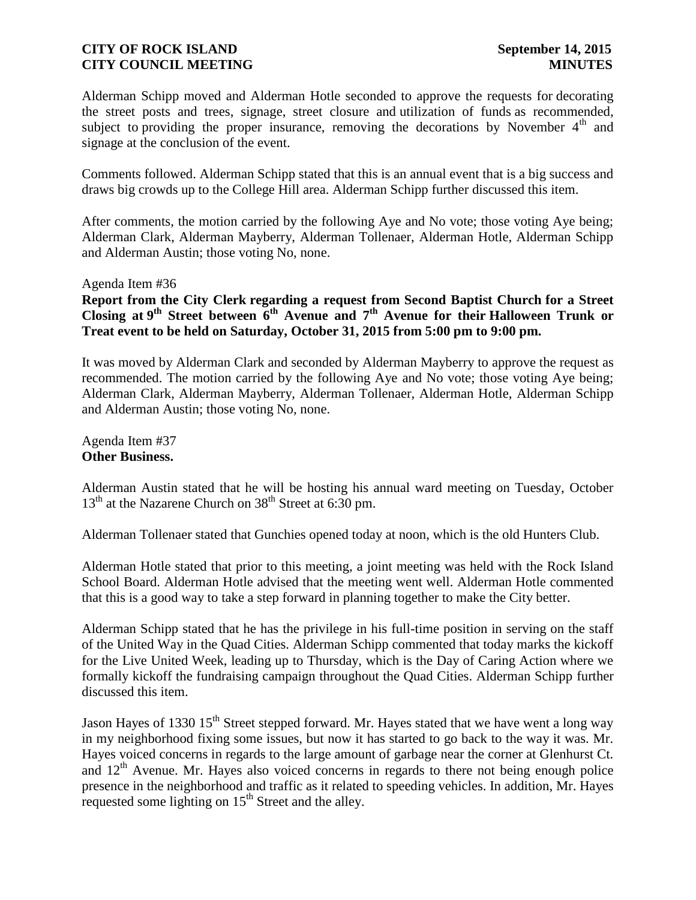Alderman Schipp moved and Alderman Hotle seconded to approve the requests for decorating the street posts and trees, signage, street closure and utilization of funds as recommended, subject to providing the proper insurance, removing the decorations by November  $4<sup>th</sup>$  and signage at the conclusion of the event.

Comments followed. Alderman Schipp stated that this is an annual event that is a big success and draws big crowds up to the College Hill area. Alderman Schipp further discussed this item.

After comments, the motion carried by the following Aye and No vote; those voting Aye being; Alderman Clark, Alderman Mayberry, Alderman Tollenaer, Alderman Hotle, Alderman Schipp and Alderman Austin; those voting No, none.

Agenda Item #36

**Report from the City Clerk regarding a request from Second Baptist Church for a Street Closing at 9 th Street between 6th Avenue and 7th Avenue for their Halloween Trunk or Treat event to be held on Saturday, October 31, 2015 from 5:00 pm to 9:00 pm.**

It was moved by Alderman Clark and seconded by Alderman Mayberry to approve the request as recommended. The motion carried by the following Aye and No vote; those voting Aye being; Alderman Clark, Alderman Mayberry, Alderman Tollenaer, Alderman Hotle, Alderman Schipp and Alderman Austin; those voting No, none.

Agenda Item #37 **Other Business.**

Alderman Austin stated that he will be hosting his annual ward meeting on Tuesday, October  $13<sup>th</sup>$  at the Nazarene Church on  $38<sup>th</sup>$  Street at 6:30 pm.

Alderman Tollenaer stated that Gunchies opened today at noon, which is the old Hunters Club.

Alderman Hotle stated that prior to this meeting, a joint meeting was held with the Rock Island School Board. Alderman Hotle advised that the meeting went well. Alderman Hotle commented that this is a good way to take a step forward in planning together to make the City better.

Alderman Schipp stated that he has the privilege in his full-time position in serving on the staff of the United Way in the Quad Cities. Alderman Schipp commented that today marks the kickoff for the Live United Week, leading up to Thursday, which is the Day of Caring Action where we formally kickoff the fundraising campaign throughout the Quad Cities. Alderman Schipp further discussed this item.

Jason Hayes of 1330 15<sup>th</sup> Street stepped forward. Mr. Hayes stated that we have went a long way in my neighborhood fixing some issues, but now it has started to go back to the way it was. Mr. Hayes voiced concerns in regards to the large amount of garbage near the corner at Glenhurst Ct. and  $12<sup>th</sup>$  Avenue. Mr. Hayes also voiced concerns in regards to there not being enough police presence in the neighborhood and traffic as it related to speeding vehicles. In addition, Mr. Hayes requested some lighting on  $15<sup>th</sup>$  Street and the alley.